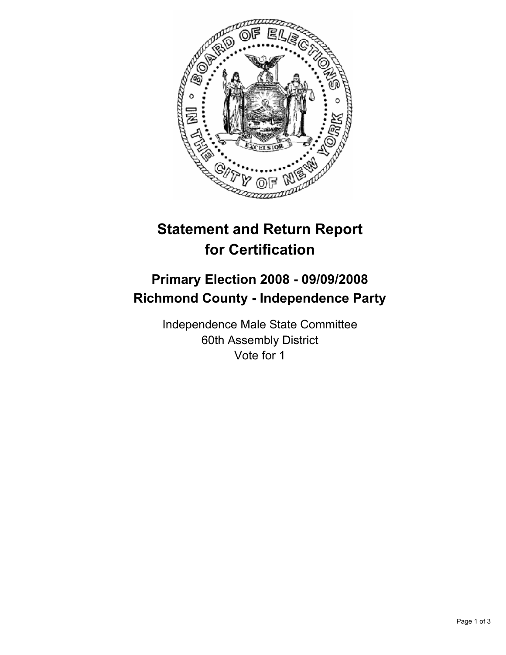

# **Statement and Return Report for Certification**

## **Primary Election 2008 - 09/09/2008 Richmond County - Independence Party**

Independence Male State Committee 60th Assembly District Vote for 1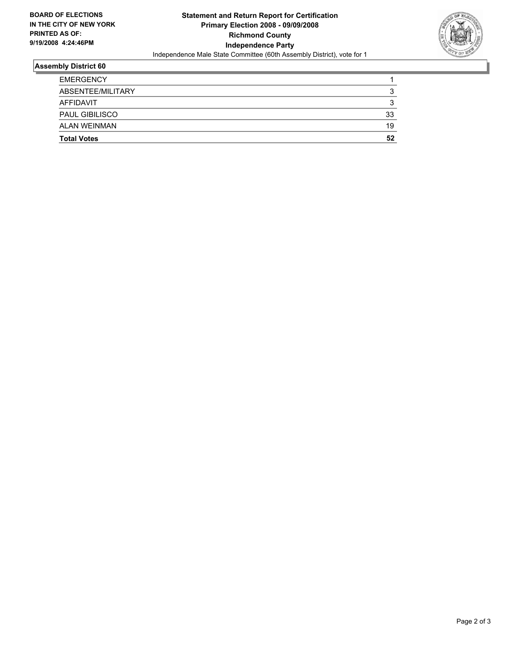

### **Assembly District 60**

| <b>EMERGENCY</b>      |    |
|-----------------------|----|
| ABSENTEE/MILITARY     |    |
| AFFIDAVIT             |    |
| <b>PAUL GIBILISCO</b> | 33 |
| ALAN WEINMAN          | 19 |
| <b>Total Votes</b>    | 52 |